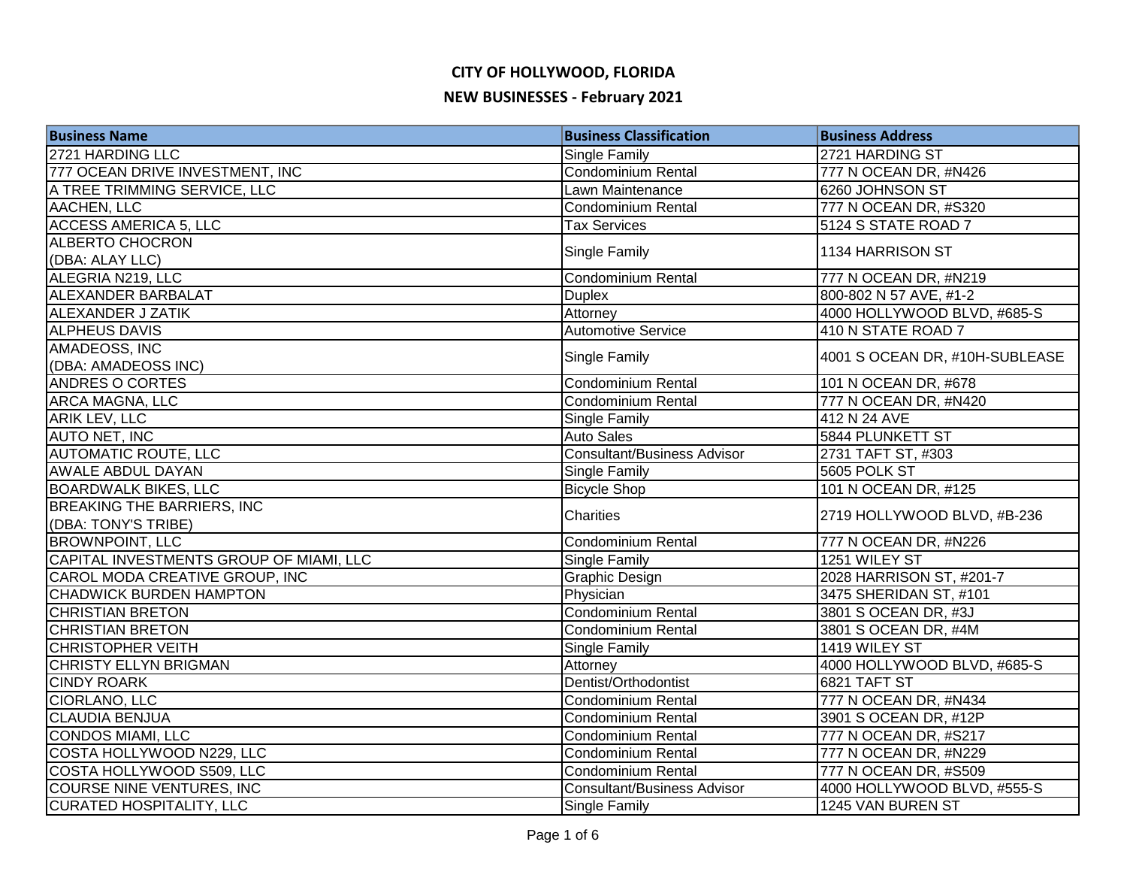| <b>Business Name</b>                    | <b>Business Classification</b>     | <b>Business Address</b>        |
|-----------------------------------------|------------------------------------|--------------------------------|
| 2721 HARDING LLC                        | <b>Single Family</b>               | 2721 HARDING ST                |
| 777 OCEAN DRIVE INVESTMENT, INC         | Condominium Rental                 | 777 N OCEAN DR, #N426          |
| A TREE TRIMMING SERVICE, LLC            | Lawn Maintenance                   | 6260 JOHNSON ST                |
| AACHEN, LLC                             | <b>Condominium Rental</b>          | 777 N OCEAN DR, #S320          |
| <b>ACCESS AMERICA 5, LLC</b>            | <b>Tax Services</b>                | 5124 S STATE ROAD 7            |
| <b>ALBERTO CHOCRON</b>                  |                                    | 1134 HARRISON ST               |
| (DBA: ALAY LLC)                         | Single Family                      |                                |
| ALEGRIA N219, LLC                       | <b>Condominium Rental</b>          | 777 N OCEAN DR, #N219          |
| <b>ALEXANDER BARBALAT</b>               | <b>Duplex</b>                      | 800-802 N 57 AVE, #1-2         |
| ALEXANDER J ZATIK                       | Attorney                           | 4000 HOLLYWOOD BLVD, #685-S    |
| <b>ALPHEUS DAVIS</b>                    | <b>Automotive Service</b>          | 410 N STATE ROAD 7             |
| AMADEOSS, INC                           | Single Family                      | 4001 S OCEAN DR, #10H-SUBLEASE |
| (DBA: AMADEOSS INC)                     |                                    |                                |
| <b>ANDRES O CORTES</b>                  | <b>Condominium Rental</b>          | 101 N OCEAN DR, #678           |
| <b>ARCA MAGNA, LLC</b>                  | <b>Condominium Rental</b>          | 777 N OCEAN DR, #N420          |
| ARIK LEV, LLC                           | <b>Single Family</b>               | 412 N 24 AVE                   |
| <b>AUTO NET, INC</b>                    | <b>Auto Sales</b>                  | 5844 PLUNKETT ST               |
| <b>AUTOMATIC ROUTE, LLC</b>             | <b>Consultant/Business Advisor</b> | 2731 TAFT ST, #303             |
| <b>AWALE ABDUL DAYAN</b>                | <b>Single Family</b>               | 5605 POLK ST                   |
| <b>BOARDWALK BIKES, LLC</b>             | <b>Bicycle Shop</b>                | 101 N OCEAN DR, #125           |
| <b>BREAKING THE BARRIERS, INC</b>       | Charities                          | 2719 HOLLYWOOD BLVD, #B-236    |
| (DBA: TONY'S TRIBE)                     |                                    |                                |
| <b>BROWNPOINT, LLC</b>                  | Condominium Rental                 | 777 N OCEAN DR, #N226          |
| CAPITAL INVESTMENTS GROUP OF MIAMI, LLC | <b>Single Family</b>               | 1251 WILEY ST                  |
| CAROL MODA CREATIVE GROUP, INC          | <b>Graphic Design</b>              | 2028 HARRISON ST, #201-7       |
| <b>CHADWICK BURDEN HAMPTON</b>          | Physician                          | 3475 SHERIDAN ST, #101         |
| <b>CHRISTIAN BRETON</b>                 | <b>Condominium Rental</b>          | 3801 S OCEAN DR, #3J           |
| <b>CHRISTIAN BRETON</b>                 | Condominium Rental                 | 3801 S OCEAN DR, #4M           |
| <b>CHRISTOPHER VEITH</b>                | Single Family                      | 1419 WILEY ST                  |
| <b>CHRISTY ELLYN BRIGMAN</b>            | Attorney                           | 4000 HOLLYWOOD BLVD, #685-S    |
| <b>CINDY ROARK</b>                      | Dentist/Orthodontist               | 6821 TAFT ST                   |
| <b>CIORLANO, LLC</b>                    | Condominium Rental                 | 777 N OCEAN DR, #N434          |
| <b>CLAUDIA BENJUA</b>                   | <b>Condominium Rental</b>          | 3901 S OCEAN DR, #12P          |
| CONDOS MIAMI, LLC                       | Condominium Rental                 | 777 N OCEAN DR, #S217          |
| COSTA HOLLYWOOD N229, LLC               | <b>Condominium Rental</b>          | 777 N OCEAN DR, #N229          |
| COSTA HOLLYWOOD S509, LLC               | Condominium Rental                 | 777 N OCEAN DR, #S509          |
| <b>COURSE NINE VENTURES, INC</b>        | <b>Consultant/Business Advisor</b> | 4000 HOLLYWOOD BLVD, #555-S    |
| <b>CURATED HOSPITALITY, LLC</b>         | <b>Single Family</b>               | 1245 VAN BUREN ST              |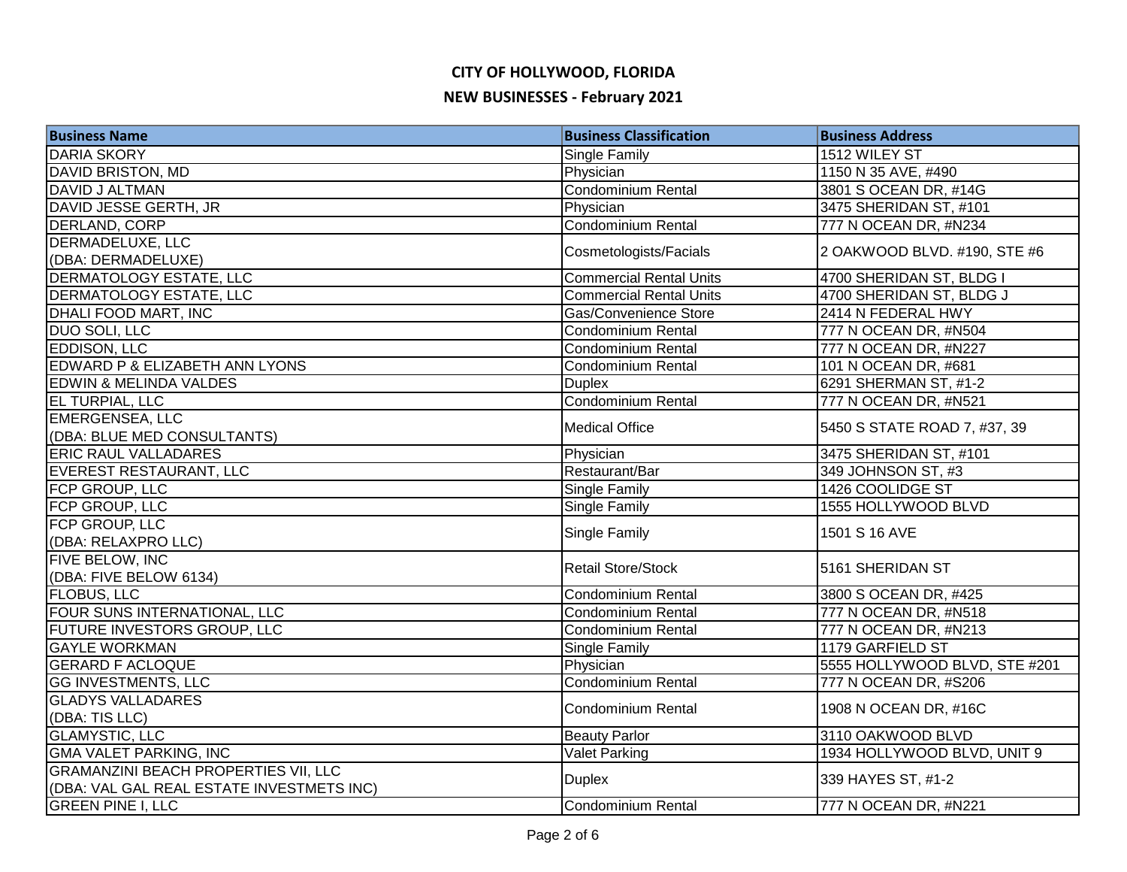| <b>Business Name</b>                        | <b>Business Classification</b> | <b>Business Address</b>       |
|---------------------------------------------|--------------------------------|-------------------------------|
| <b>DARIA SKORY</b>                          | Single Family                  | 1512 WILEY ST                 |
| <b>DAVID BRISTON, MD</b>                    | Physician                      | 1150 N 35 AVE, #490           |
| DAVID J ALTMAN                              | Condominium Rental             | 3801 S OCEAN DR, #14G         |
| DAVID JESSE GERTH, JR                       | Physician                      | 3475 SHERIDAN ST, #101        |
| DERLAND, CORP                               | <b>Condominium Rental</b>      | 777 N OCEAN DR, #N234         |
| <b>DERMADELUXE, LLC</b>                     | Cosmetologists/Facials         | 2 OAKWOOD BLVD. #190, STE #6  |
| (DBA: DERMADELUXE)                          |                                |                               |
| <b>DERMATOLOGY ESTATE, LLC</b>              | <b>Commercial Rental Units</b> | 4700 SHERIDAN ST, BLDG I      |
| <b>DERMATOLOGY ESTATE, LLC</b>              | <b>Commercial Rental Units</b> | 4700 SHERIDAN ST, BLDG J      |
| DHALI FOOD MART, INC                        | Gas/Convenience Store          | 2414 N FEDERAL HWY            |
| <b>DUO SOLI, LLC</b>                        | Condominium Rental             | 777 N OCEAN DR, #N504         |
| <b>EDDISON, LLC</b>                         | Condominium Rental             | 777 N OCEAN DR, #N227         |
| EDWARD P & ELIZABETH ANN LYONS              | <b>Condominium Rental</b>      | 101 N OCEAN DR, #681          |
| EDWIN & MELINDA VALDES                      | <b>Duplex</b>                  | 6291 SHERMAN ST, #1-2         |
| EL TURPIAL, LLC                             | <b>Condominium Rental</b>      | 777 N OCEAN DR, #N521         |
| <b>EMERGENSEA, LLC</b>                      |                                |                               |
| (DBA: BLUE MED CONSULTANTS)                 | <b>Medical Office</b>          | 5450 S STATE ROAD 7, #37, 39  |
| <b>ERIC RAUL VALLADARES</b>                 | Physician                      | 3475 SHERIDAN ST, #101        |
| EVEREST RESTAURANT, LLC                     | Restaurant/Bar                 | 349 JOHNSON ST, #3            |
| FCP GROUP, LLC                              | Single Family                  | 1426 COOLIDGE ST              |
| FCP GROUP, LLC                              | Single Family                  | 1555 HOLLYWOOD BLVD           |
| FCP GROUP, LLC                              |                                |                               |
| (DBA: RELAXPRO LLC)                         | Single Family                  | 1501 S 16 AVE                 |
| FIVE BELOW, INC                             | <b>Retail Store/Stock</b>      | 5161 SHERIDAN ST              |
| (DBA: FIVE BELOW 6134)                      |                                |                               |
| <b>FLOBUS, LLC</b>                          | <b>Condominium Rental</b>      | 3800 S OCEAN DR, #425         |
| FOUR SUNS INTERNATIONAL, LLC                | Condominium Rental             | 777 N OCEAN DR, #N518         |
| FUTURE INVESTORS GROUP, LLC                 | Condominium Rental             | 777 N OCEAN DR, #N213         |
| <b>GAYLE WORKMAN</b>                        | <b>Single Family</b>           | 1179 GARFIELD ST              |
| <b>GERARD F ACLOQUE</b>                     | Physician                      | 5555 HOLLYWOOD BLVD, STE #201 |
| <b>GG INVESTMENTS, LLC</b>                  | <b>Condominium Rental</b>      | 777 N OCEAN DR, #S206         |
| <b>GLADYS VALLADARES</b>                    |                                |                               |
| (DBA: TIS LLC)                              | <b>Condominium Rental</b>      | 1908 N OCEAN DR, #16C         |
| <b>GLAMYSTIC, LLC</b>                       | <b>Beauty Parlor</b>           | 3110 OAKWOOD BLVD             |
| <b>GMA VALET PARKING, INC</b>               | <b>Valet Parking</b>           | 1934 HOLLYWOOD BLVD, UNIT 9   |
| <b>GRAMANZINI BEACH PROPERTIES VII, LLC</b> |                                | 339 HAYES ST, #1-2            |
| (DBA: VAL GAL REAL ESTATE INVESTMETS INC)   | <b>Duplex</b>                  |                               |
| <b>GREEN PINE I, LLC</b>                    | Condominium Rental             | 777 N OCEAN DR, #N221         |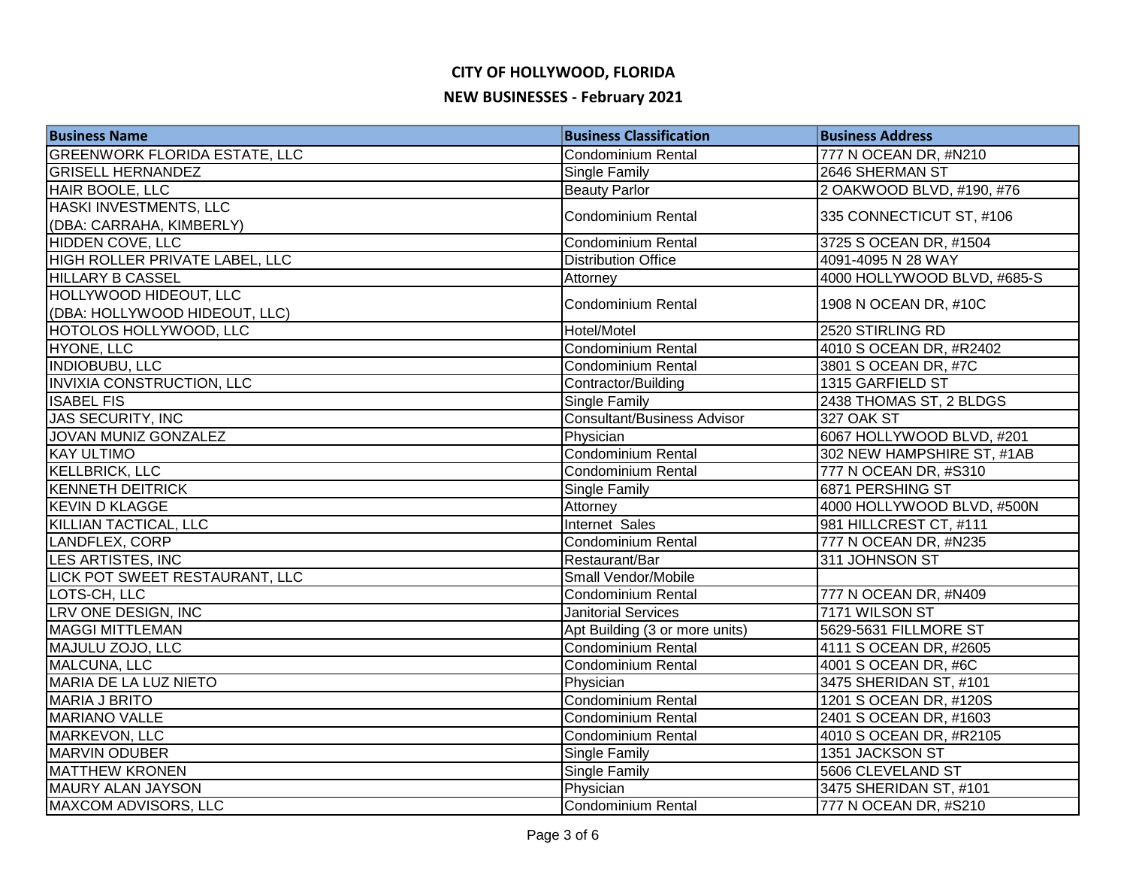| <b>Business Name</b>                 | <b>Business Classification</b>     | <b>Business Address</b>     |
|--------------------------------------|------------------------------------|-----------------------------|
| <b>GREENWORK FLORIDA ESTATE, LLC</b> | Condominium Rental                 | 777 N OCEAN DR, #N210       |
| <b>GRISELL HERNANDEZ</b>             | Single Family                      | 2646 SHERMAN ST             |
| HAIR BOOLE, LLC                      | <b>Beauty Parlor</b>               | 2 OAKWOOD BLVD, #190, #76   |
| HASKI INVESTMENTS, LLC               |                                    | 335 CONNECTICUT ST, #106    |
| (DBA: CARRAHA, KIMBERLY)             | Condominium Rental                 |                             |
| <b>HIDDEN COVE, LLC</b>              | Condominium Rental                 | 3725 S OCEAN DR, #1504      |
| HIGH ROLLER PRIVATE LABEL, LLC       | <b>Distribution Office</b>         | 4091-4095 N 28 WAY          |
| <b>HILLARY B CASSEL</b>              | Attorney                           | 4000 HOLLYWOOD BLVD, #685-S |
| <b>HOLLYWOOD HIDEOUT, LLC</b>        | <b>Condominium Rental</b>          | 1908 N OCEAN DR, #10C       |
| (DBA: HOLLYWOOD HIDEOUT, LLC)        |                                    |                             |
| HOTOLOS HOLLYWOOD, LLC               | Hotel/Motel                        | 2520 STIRLING RD            |
| HYONE, LLC                           | <b>Condominium Rental</b>          | 4010 S OCEAN DR, #R2402     |
| <b>INDIOBUBU, LLC</b>                | <b>Condominium Rental</b>          | 3801 S OCEAN DR, #7C        |
| <b>INVIXIA CONSTRUCTION, LLC</b>     | Contractor/Building                | 1315 GARFIELD ST            |
| <b>ISABEL FIS</b>                    | Single Family                      | 2438 THOMAS ST, 2 BLDGS     |
| JAS SECURITY, INC                    | <b>Consultant/Business Advisor</b> | 327 OAK ST                  |
| JOVAN MUNIZ GONZALEZ                 | Physician                          | 6067 HOLLYWOOD BLVD, #201   |
| <b>KAY ULTIMO</b>                    | Condominium Rental                 | 302 NEW HAMPSHIRE ST, #1AB  |
| <b>KELLBRICK, LLC</b>                | <b>Condominium Rental</b>          | 777 N OCEAN DR, #S310       |
| <b>KENNETH DEITRICK</b>              | Single Family                      | 6871 PERSHING ST            |
| <b>KEVIN D KLAGGE</b>                | Attorney                           | 4000 HOLLYWOOD BLVD, #500N  |
| KILLIAN TACTICAL, LLC                | <b>Internet Sales</b>              | 981 HILLCREST CT, #111      |
| LANDFLEX, CORP                       | Condominium Rental                 | 777 N OCEAN DR, #N235       |
| LES ARTISTES, INC                    | Restaurant/Bar                     | 311 JOHNSON ST              |
| LICK POT SWEET RESTAURANT, LLC       | Small Vendor/Mobile                |                             |
| LOTS-CH, LLC                         | <b>Condominium Rental</b>          | 777 N OCEAN DR, #N409       |
| LRV ONE DESIGN, INC                  | <b>Janitorial Services</b>         | 7171 WILSON ST              |
| <b>MAGGI MITTLEMAN</b>               | Apt Building (3 or more units)     | 5629-5631 FILLMORE ST       |
| MAJULU ZOJO, LLC                     | <b>Condominium Rental</b>          | 4111 S OCEAN DR, #2605      |
| MALCUNA, LLC                         | Condominium Rental                 | 4001 S OCEAN DR, #6C        |
| MARIA DE LA LUZ NIETO                | Physician                          | 3475 SHERIDAN ST, #101      |
| <b>MARIA J BRITO</b>                 | Condominium Rental                 | 1201 S OCEAN DR, #120S      |
| <b>MARIANO VALLE</b>                 | Condominium Rental                 | 2401 S OCEAN DR, #1603      |
| MARKEVON, LLC                        | <b>Condominium Rental</b>          | 4010 S OCEAN DR, #R2105     |
| <b>MARVIN ODUBER</b>                 | Single Family                      | 1351 JACKSON ST             |
| <b>MATTHEW KRONEN</b>                | Single Family                      | 5606 CLEVELAND ST           |
| MAURY ALAN JAYSON                    | Physician                          | 3475 SHERIDAN ST, #101      |
| <b>MAXCOM ADVISORS, LLC</b>          | <b>Condominium Rental</b>          | 777 N OCEAN DR, #S210       |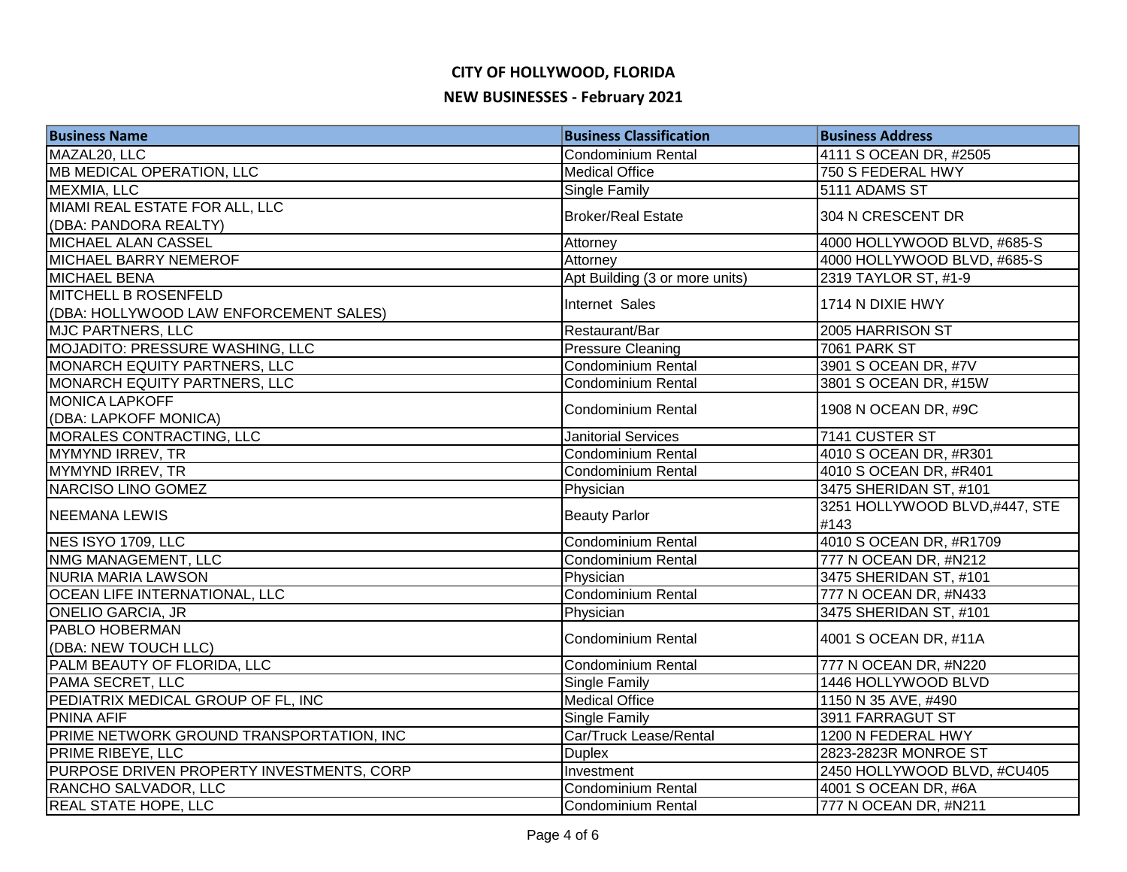| <b>Business Name</b>                      | <b>Business Classification</b> | <b>Business Address</b>       |
|-------------------------------------------|--------------------------------|-------------------------------|
| MAZAL20, LLC                              | Condominium Rental             | 4111 S OCEAN DR, #2505        |
| <b>MB MEDICAL OPERATION, LLC</b>          | <b>Medical Office</b>          | 750 S FEDERAL HWY             |
| MEXMIA, LLC                               | Single Family                  | 5111 ADAMS ST                 |
| MIAMI REAL ESTATE FOR ALL, LLC            |                                |                               |
| (DBA: PANDORA REALTY)                     | <b>Broker/Real Estate</b>      | 304 N CRESCENT DR             |
| <b>MICHAEL ALAN CASSEL</b>                | Attorney                       | 4000 HOLLYWOOD BLVD, #685-S   |
| <b>MICHAEL BARRY NEMEROF</b>              | Attorney                       | 4000 HOLLYWOOD BLVD, #685-S   |
| <b>MICHAEL BENA</b>                       | Apt Building (3 or more units) | 2319 TAYLOR ST, #1-9          |
| <b>MITCHELL B ROSENFELD</b>               | Internet Sales                 |                               |
| (DBA: HOLLYWOOD LAW ENFORCEMENT SALES)    |                                | 1714 N DIXIE HWY              |
| <b>MJC PARTNERS, LLC</b>                  | Restaurant/Bar                 | 2005 HARRISON ST              |
| MOJADITO: PRESSURE WASHING, LLC           | <b>Pressure Cleaning</b>       | <b>7061 PARK ST</b>           |
| MONARCH EQUITY PARTNERS, LLC              | Condominium Rental             | 3901 S OCEAN DR, #7V          |
| MONARCH EQUITY PARTNERS, LLC              | Condominium Rental             | 3801 S OCEAN DR, #15W         |
| <b>MONICA LAPKOFF</b>                     | Condominium Rental             | 1908 N OCEAN DR, #9C          |
| (DBA: LAPKOFF MONICA)                     |                                |                               |
| MORALES CONTRACTING, LLC                  | <b>Janitorial Services</b>     | 7141 CUSTER ST                |
| MYMYND IRREV, TR                          | Condominium Rental             | 4010 S OCEAN DR, #R301        |
| MYMYND IRREV, TR                          | Condominium Rental             | 4010 S OCEAN DR, #R401        |
| NARCISO LINO GOMEZ                        | Physician                      | 3475 SHERIDAN ST, #101        |
| <b>NEEMANA LEWIS</b>                      | <b>Beauty Parlor</b>           | 3251 HOLLYWOOD BLVD,#447, STE |
|                                           |                                | #143                          |
| NES ISYO 1709, LLC                        | Condominium Rental             | 4010 S OCEAN DR, #R1709       |
| NMG MANAGEMENT, LLC                       | Condominium Rental             | 777 N OCEAN DR, #N212         |
| NURIA MARIA LAWSON                        | Physician                      | 3475 SHERIDAN ST, #101        |
| <b>OCEAN LIFE INTERNATIONAL, LLC</b>      | Condominium Rental             | 777 N OCEAN DR, #N433         |
| <b>ONELIO GARCIA, JR</b>                  | Physician                      | 3475 SHERIDAN ST, #101        |
| PABLO HOBERMAN                            | Condominium Rental             | 4001 S OCEAN DR, #11A         |
| (DBA: NEW TOUCH LLC)                      |                                |                               |
| PALM BEAUTY OF FLORIDA, LLC               | <b>Condominium Rental</b>      | 777 N OCEAN DR, #N220         |
| PAMA SECRET, LLC                          | <b>Single Family</b>           | 1446 HOLLYWOOD BLVD           |
| PEDIATRIX MEDICAL GROUP OF FL, INC        | <b>Medical Office</b>          | 1150 N 35 AVE, #490           |
| <b>PNINA AFIF</b>                         | <b>Single Family</b>           | 3911 FARRAGUT ST              |
| PRIME NETWORK GROUND TRANSPORTATION, INC  | Car/Truck Lease/Rental         | 1200 N FEDERAL HWY            |
| <b>PRIME RIBEYE, LLC</b>                  | <b>Duplex</b>                  | 2823-2823R MONROE ST          |
| PURPOSE DRIVEN PROPERTY INVESTMENTS, CORP | Investment                     | 2450 HOLLYWOOD BLVD, #CU405   |
| RANCHO SALVADOR, LLC                      | Condominium Rental             | 4001 S OCEAN DR, #6A          |
| <b>REAL STATE HOPE, LLC</b>               | Condominium Rental             | 777 N OCEAN DR, #N211         |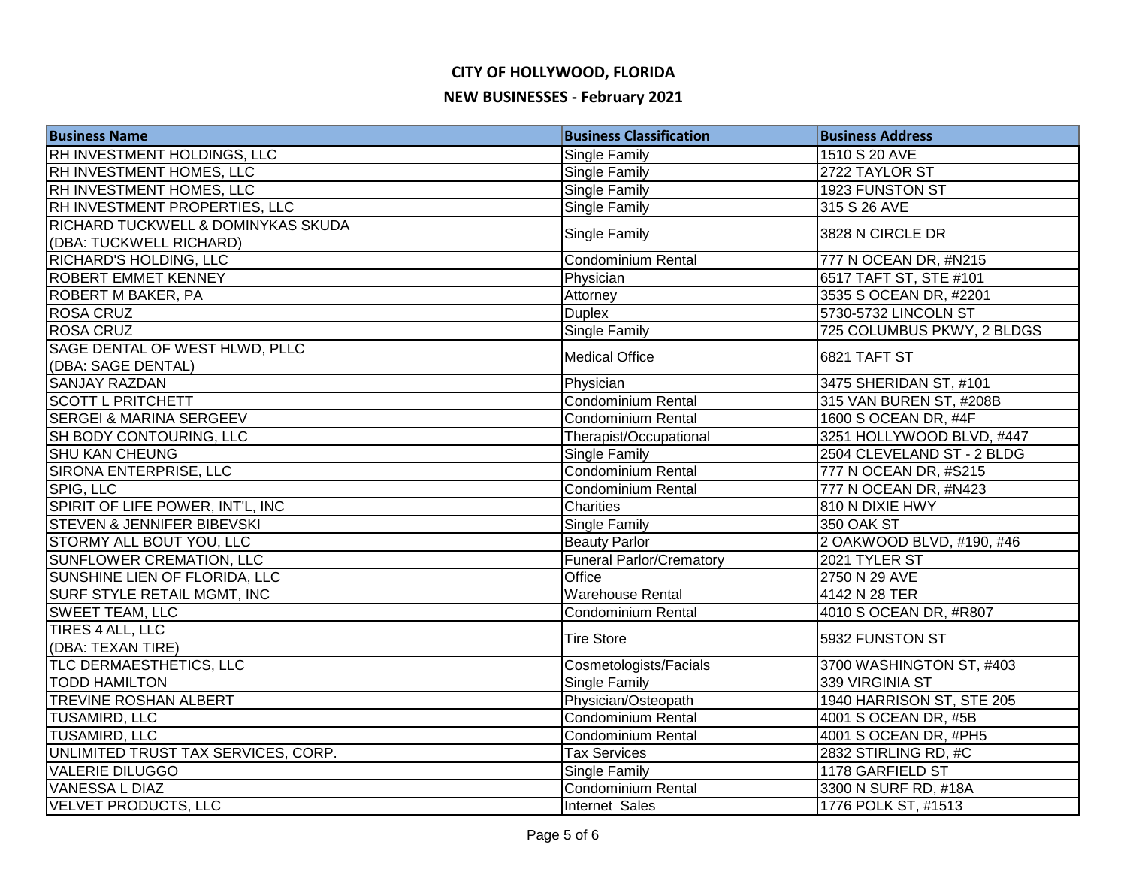| <b>Business Name</b>                  | <b>Business Classification</b>  | <b>Business Address</b>    |
|---------------------------------------|---------------------------------|----------------------------|
| RH INVESTMENT HOLDINGS, LLC           | <b>Single Family</b>            | 1510 S 20 AVE              |
| RH INVESTMENT HOMES, LLC              | <b>Single Family</b>            | 2722 TAYLOR ST             |
| RH INVESTMENT HOMES, LLC              | <b>Single Family</b>            | 1923 FUNSTON ST            |
| RH INVESTMENT PROPERTIES, LLC         | Single Family                   | 315 S 26 AVE               |
| RICHARD TUCKWELL & DOMINYKAS SKUDA    |                                 |                            |
| (DBA: TUCKWELL RICHARD)               | Single Family                   | 3828 N CIRCLE DR           |
| RICHARD'S HOLDING, LLC                | Condominium Rental              | 777 N OCEAN DR, #N215      |
| <b>ROBERT EMMET KENNEY</b>            | Physician                       | 6517 TAFT ST, STE #101     |
| <b>ROBERT M BAKER, PA</b>             | Attorney                        | 3535 S OCEAN DR, #2201     |
| <b>ROSA CRUZ</b>                      | <b>Duplex</b>                   | 5730-5732 LINCOLN ST       |
| <b>ROSA CRUZ</b>                      | <b>Single Family</b>            | 725 COLUMBUS PKWY, 2 BLDGS |
| SAGE DENTAL OF WEST HLWD, PLLC        |                                 |                            |
| (DBA: SAGE DENTAL)                    | <b>Medical Office</b>           | 6821 TAFT ST               |
| <b>SANJAY RAZDAN</b>                  | Physician                       | 3475 SHERIDAN ST, #101     |
| <b>SCOTT L PRITCHETT</b>              | Condominium Rental              | 315 VAN BUREN ST, #208B    |
| <b>SERGEI &amp; MARINA SERGEEV</b>    | Condominium Rental              | 1600 S OCEAN DR, #4F       |
| SH BODY CONTOURING, LLC               | Therapist/Occupational          | 3251 HOLLYWOOD BLVD, #447  |
| <b>SHU KAN CHEUNG</b>                 | <b>Single Family</b>            | 2504 CLEVELAND ST - 2 BLDG |
| SIRONA ENTERPRISE, LLC                | Condominium Rental              | 777 N OCEAN DR, #S215      |
| SPIG, LLC                             | Condominium Rental              | 777 N OCEAN DR, #N423      |
| SPIRIT OF LIFE POWER, INT'L, INC      | Charities                       | 810 N DIXIE HWY            |
| <b>STEVEN &amp; JENNIFER BIBEVSKI</b> | <b>Single Family</b>            | 350 OAK ST                 |
| STORMY ALL BOUT YOU, LLC              | <b>Beauty Parlor</b>            | 2 OAKWOOD BLVD, #190, #46  |
| SUNFLOWER CREMATION, LLC              | <b>Funeral Parlor/Crematory</b> | 2021 TYLER ST              |
| SUNSHINE LIEN OF FLORIDA, LLC         | Office                          | 2750 N 29 AVE              |
| SURF STYLE RETAIL MGMT, INC           | <b>Warehouse Rental</b>         | 4142 N 28 TER              |
| <b>SWEET TEAM, LLC</b>                | Condominium Rental              | 4010 S OCEAN DR, #R807     |
| TIRES 4 ALL, LLC                      |                                 |                            |
| (DBA: TEXAN TIRE)                     | <b>Tire Store</b>               | 5932 FUNSTON ST            |
| TLC DERMAESTHETICS, LLC               | Cosmetologists/Facials          | 3700 WASHINGTON ST, #403   |
| <b>TODD HAMILTON</b>                  | <b>Single Family</b>            | 339 VIRGINIA ST            |
| <b>TREVINE ROSHAN ALBERT</b>          | Physician/Osteopath             | 1940 HARRISON ST, STE 205  |
| <b>TUSAMIRD, LLC</b>                  | <b>Condominium Rental</b>       | 4001 S OCEAN DR, #5B       |
| <b>TUSAMIRD, LLC</b>                  | Condominium Rental              | 4001 S OCEAN DR, #PH5      |
| UNLIMITED TRUST TAX SERVICES, CORP.   | <b>Tax Services</b>             | 2832 STIRLING RD, #C       |
| <b>VALERIE DILUGGO</b>                | <b>Single Family</b>            | 1178 GARFIELD ST           |
| <b>VANESSA L DIAZ</b>                 | Condominium Rental              | 3300 N SURF RD, #18A       |
| <b>VELVET PRODUCTS, LLC</b>           | Internet Sales                  | 1776 POLK ST, #1513        |